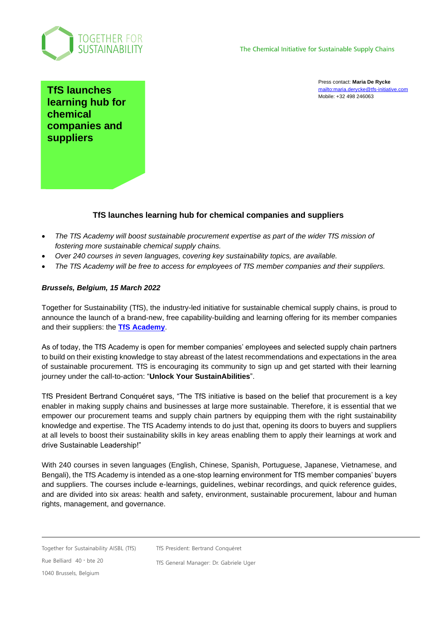

Press contact: **Maria De Rycke** <mailto:maria.derycke@tfs-initiative.com> Mobile: +32 498 246063

**TfS launches learning hub for chemical companies and suppliers**

## **TfS launches learning hub for chemical companies and suppliers**

- *The TfS Academy will boost sustainable procurement expertise as part of the wider TfS mission of fostering more sustainable chemical supply chains.*
- *Over 240 courses in seven languages, covering key sustainability topics, are available.*
- *The TfS Academy will be free to access for employees of TfS member companies and their suppliers.*

## *Brussels, Belgium, 15 March 2022*

Together for Sustainability (TfS), the industry-led initiative for sustainable chemical supply chains, is proud to announce the launch of a brand-new, free capability-building and learning offering for its member companies and their suppliers: the **[TfS Academy](https://tfs-initiative.com/tfs-academy/)**.

As of today, the TfS Academy is open for member companies' employees and selected supply chain partners to build on their existing knowledge to stay abreast of the latest recommendations and expectations in the area of sustainable procurement. TfS is encouraging its community to sign up and get started with their learning journey under the call-to-action: "**Unlock Your SustainAbilities**".

TfS President Bertrand Conquéret says, "The TfS initiative is based on the belief that procurement is a key enabler in making supply chains and businesses at large more sustainable. Therefore, it is essential that we empower our procurement teams and supply chain partners by equipping them with the right sustainability knowledge and expertise. The TfS Academy intends to do just that, opening its doors to buyers and suppliers at all levels to boost their sustainability skills in key areas enabling them to apply their learnings at work and drive Sustainable Leadership!"

With 240 courses in seven languages (English, Chinese, Spanish, Portuguese, Japanese, Vietnamese, and Bengali), the TfS Academy is intended as a one-stop learning environment for TfS member companies' buyers and suppliers. The courses include e-learnings, guidelines, webinar recordings, and quick reference guides, and are divided into six areas: health and safety, environment, sustainable procurement, labour and human rights, management, and governance.

Together for Sustainability AISBL (TfS)

TfS President: Bertrand Conquéret

Rue Belliard 40 **.** bte 20 1040 Brussels, Belgium

TfS General Manager: Dr. Gabriele Uger